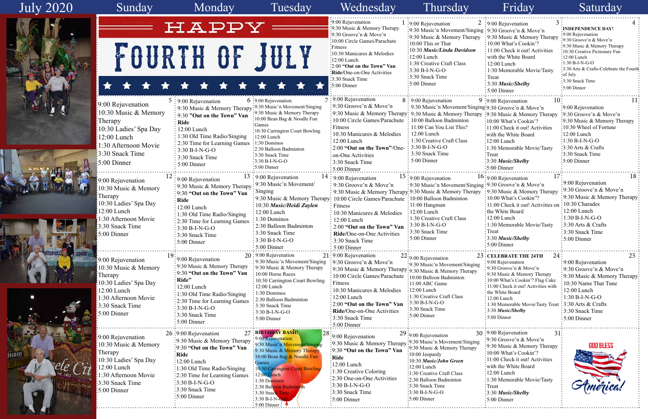

| 2  | 3                                                    | 4                                       |
|----|------------------------------------------------------|-----------------------------------------|
|    | : 9:00 Rejuvenation                                  | : INDEPENDENCE DAY!                     |
|    | ging: 9:30 Groove'n & Move'n                         | 9:00 Rejuvenation                       |
| pу | 9:30 Music & Memory Therapy                          | 9:30 Groove'n & Move'n                  |
|    | 10:00 What's Cookin'?                                | 9:30 Music & Memory Therapy             |
|    | 11:00 Check it out! Activities                       | 10:30 Creative Pictionary Fun           |
|    | with the White Board                                 | 12:00 Lunch                             |
|    | $12:00$ Lunch                                        | $1:30 B-I-N-G-O$                        |
|    | 1:30 Memorable Movie/Tasty                           | 3:30 Arts & Crafts-Celebrate the Fourth |
|    | Treat                                                | of July                                 |
|    | 3:30 Music/Shelby                                    | 3:30 Snack Time                         |
|    | 5:00 Dinner                                          | 5:00 Dinner                             |
|    |                                                      |                                         |
|    | 10<br>9 :9:00 Rejuvenation                           | 11                                      |
|    | ging 9:30 Groove'n & Move'n                          | :9:00 Rejuvenation                      |
|    | apy :9:30 Music & Memory Therapy                     | 9:30 Groove'n & Move'n                  |
|    | :10:00 What's Cookin'?                               | 9:30 Music & Memory Therapy             |
|    | 11:00 Check it out! Activities                       | 10:30 Wheel of Fortune                  |
|    | with the White Board                                 | 12:00 Lunch                             |
|    | $:12:00$ Lunch                                       | $1:30 B-I-N-G-O$                        |
|    | :1:30 Memorable Movie/Tasty                          | 3:30 Arts & Crafts                      |
|    | <b>Treat</b>                                         | 3:30 Snack Time                         |
|    | 3:30 Music/Shelby                                    | 5:00 Dinner                             |
|    | :5:00 Dinner                                         |                                         |
|    |                                                      |                                         |
|    | 17<br>16:9:00 Rejuvenation                           | 18                                      |
|    | ging: 9:30 Groove'n & Move'n                         | 9:00 Rejuvenation                       |
| py | 9:30 Music & Memory Therapy                          | 9:30 Groove'n & Move'n                  |
|    | 10:00 What's Cookin"?                                | 9:30 Music & Memory Therapy             |
|    | 11:00 Check it out! Activities on                    | 10:30 Charades                          |
|    | the White Board                                      | 12:00 Lunch                             |
|    | $12:00$ Lunch                                        | $1:30 B-I-N-G-O$                        |
|    |                                                      | 3:30 Arts & Crafts                      |
|    | 1:30 Memorable Movie/Tasty                           |                                         |
|    | Treat                                                | 3:30 Snack Time                         |
|    | 3:30 Music/Shelby                                    | 5:00 Dinner                             |
|    | 5:00 Dinner                                          |                                         |
|    | 24:<br>23: CELEBRATE THE 24TH                        | 25                                      |
|    | 9:00 Rejuvenation                                    | 9:00 Rejuvenation                       |
| ng | 9:30 Groove'n & Move'n                               | 9:30 Groove'n & Move'n                  |
|    | 9:30 Music & Memory Therapy                          |                                         |
|    | 10:00 What's Cookin'? Flag Cake                      | 9:30 Music & Memory Therapy             |
|    | 11:00 Check it out! Activities with                  | 10:30 Name That Tune                    |
|    | the White Board                                      | 12:00 Lunch                             |
|    | $12:00$ Lunch                                        | 1:30 B-I-N-G-O                          |
|    | 1:30 Memorable Movie/Tasty Treat: 3:30 Arts & Crafts |                                         |
|    | 3:30 Music/Shelby                                    | 3:30 Snack Time                         |
|    | 5:00 Dinner                                          | 5:00 Dinner                             |
|    |                                                      |                                         |
|    |                                                      |                                         |
|    | 30 :9:00 Rejuvenation<br>$31$ :                      |                                         |
| ng | 9:30 Groove'n & Move'n                               |                                         |
| ÿ  | 9:30 Music & Memory Therapy                          | <b>GOD BLESS</b>                        |
|    | 10:00 What's Cookin'?                                |                                         |
|    | 11:00 Check it out! Activities                       |                                         |
|    | with the White Board                                 |                                         |
|    | 12:00 Lunch                                          |                                         |
|    | 1:30 Memorable Movie/Tasty                           |                                         |
|    | Treat                                                |                                         |
|    | 3:30 Music/Shelby                                    |                                         |
|    | 5:00 Dinner                                          |                                         |
|    |                                                      |                                         |

# July 2020